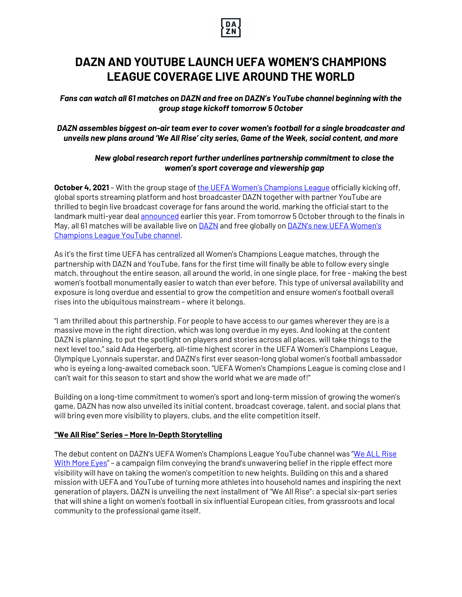

# **DAZN AND YOUTUBE LAUNCH UEFA WOMEN'S CHAMPIONS LEAGUE COVERAGE LIVE AROUND THE WORLD**

*Fans can watch all 61 matches on DAZN and free on DAZN's YouTube channel beginning with the group stage kickoff tomorrow 5 October*

*DAZN assembles biggest on-air team ever to cover women's football for a single broadcaster and unveils new plans around 'We All Rise' city series, Game of the Week, social content, and more*

# *New global research report further underlines partnership commitment to close the women's sport coverage and viewership gap*

**October 4, 2021** – With the group stage of the UEFA Women's Champions League officially kicking off, global sports streaming platform and host broadcaster DAZN together with partner YouTube are thrilled to begin live broadcast coverage for fans around the world, marking the official start to the landmark multi-year deal announced earlier this year. From tomorrow 5 October through to the finals in May, all 61 matches will be available live on **DAZN** and free globally on **DAZN's new UEFA Women's** Champions League YouTube channel.

As it's the first time UEFA has centralized all Women's Champions League matches, through the partnership with DAZN and YouTube, fans for the first time will finally be able to follow every single match, throughout the entire season, all around the world, in one single place, for free - making the best women's football monumentally easier to watch than ever before. This type of universal availability and exposure is long overdue and essential to grow the competition and ensure women's football overall rises into the ubiquitous mainstream – where it belongs.

"I am thrilled about this partnership. For people to have access to our games wherever they are is a massive move in the right direction, which was long overdue in my eyes. And looking at the content DAZN is planning, to put the spotlight on players and stories across all places, will take things to the next level too," said Ada Hegerberg, all-time highest scorer in the UEFA Women's Champions League, Olympique Lyonnais superstar, and DAZN's first ever season-long global women's football ambassador who is eyeing a long-awaited comeback soon. "UEFA Women's Champions League is coming close and I can't wait for this season to start and show the world what we are made of!"

Building on a long-time commitment to women's sport and long-term mission of growing the women's game, DAZN has now also unveiled its initial content, broadcast coverage, talent, and social plans that will bring even more visibility to players, clubs, and the elite competition itself.

## **"We All Rise" Series – More In-Depth Storytelling**

The debut content on DAZN's UEFA Women's Champions League YouTube channel was "We ALL Rise With More Eyes" – a campaign film conveying the brand's unwavering belief in the ripple effect more visibility will have on taking the women's competition to new heights. Building on this and a shared mission with UEFA and YouTube of turning more athletes into household names and inspiring the next generation of players, DAZN is unveiling the next installment of "We All Rise": a special six-part series that will shine a light on women's football in six influential European cities, from grassroots and local community to the professional game itself.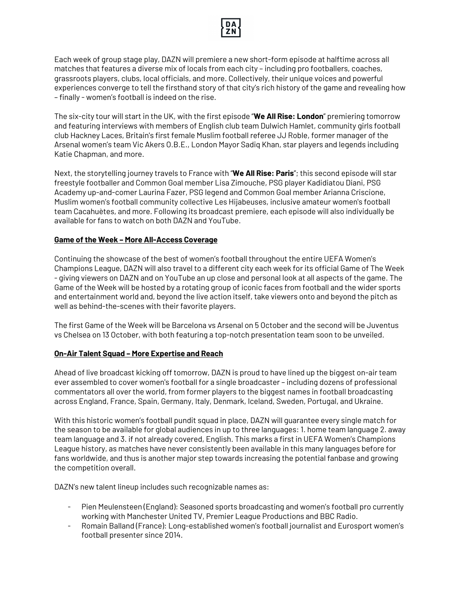

Each week of group stage play, DAZN will premiere a new short-form episode at halftime across all matches that features a diverse mix of locals from each city – including pro footballers, coaches, grassroots players, clubs, local officials, and more. Collectively, their unique voices and powerful experiences converge to tell the firsthand story of that city's rich history of the game and revealing how – finally - women's football is indeed on the rise.

The six-city tour will start in the UK, with the first episode "**We All Rise: London**" premiering tomorrow and featuring interviews with members of English club team Dulwich Hamlet, community girls football club Hackney Laces, Britain's first female Muslim football referee JJ Roble, former manager of the Arsenal women's team Vic Akers O.B.E., London Mayor Sadiq Khan, star players and legends including Katie Chapman, and more.

Next, the storytelling journey travels to France with "**We All Rise: Paris**"; this second episode will star freestyle footballer and Common Goal member Lisa Zimouche, PSG player Kadidiatou Diani, PSG Academy up-and-comer Laurina Fazer, PSG legend and Common Goal member Arianna Criscione, Muslim women's football community collective Les Hijabeuses, inclusive amateur women's football team Cacahuètes, and more. Following its broadcast premiere, each episode will also individually be available for fans to watch on both DAZN and YouTube.

## **Game of the Week – More All-Access Coverage**

Continuing the showcase of the best of women's football throughout the entire UEFA Women's Champions League, DAZN will also travel to a different city each week for its official Game of The Week - giving viewers on DAZN and on YouTube an up close and personal look at all aspects of the game. The Game of the Week will be hosted by a rotating group of iconic faces from football and the wider sports and entertainment world and, beyond the live action itself, take viewers onto and beyond the pitch as well as behind-the-scenes with their favorite players.

The first Game of the Week will be Barcelona vs Arsenal on 5 October and the second will be Juventus vs Chelsea on 13 October, with both featuring a top-notch presentation team soon to be unveiled.

## **On-Air Talent Squad – More Expertise and Reach**

Ahead of live broadcast kicking off tomorrow, DAZN is proud to have lined up the biggest on-air team ever assembled to cover women's football for a single broadcaster – including dozens of professional commentators all over the world, from former players to the biggest names in football broadcasting across England, France, Spain, Germany, Italy, Denmark, Iceland, Sweden, Portugal, and Ukraine.

With this historic women's football pundit squad in place, DAZN will guarantee every single match for the season to be available for global audiences in up to three languages: 1. home team language 2. away team language and 3. if not already covered, English. This marks a first in UEFA Women's Champions League history, as matches have never consistently been available in this many languages before for fans worldwide, and thus is another major step towards increasing the potential fanbase and growing the competition overall.

DAZN's new talent lineup includes such recognizable names as:

- Pien Meulensteen (England): Seasoned sports broadcasting and women's football pro currently working with Manchester United TV, Premier League Productions and BBC Radio.
- Romain Balland (France): Long-established women's football journalist and Eurosport women's football presenter since 2014.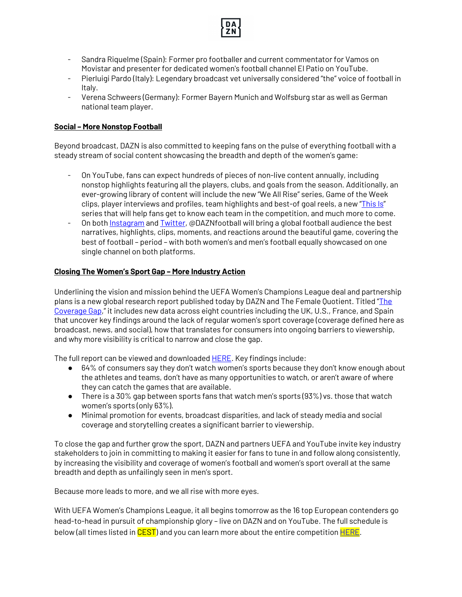

- Sandra Riquelme (Spain): Former pro footballer and current commentator for Vamos on Movistar and presenter for dedicated women's football channel El Patio on YouTube.
- Pierluigi Pardo (Italy): Legendary broadcast vet universally considered "the" voice of football in Italy.
- Verena Schweers (Germany): Former Bayern Munich and Wolfsburg star as well as German national team player.

## **Social – More Nonstop Football**

Beyond broadcast, DAZN is also committed to keeping fans on the pulse of everything football with a steady stream of social content showcasing the breadth and depth of the women's game:

- On YouTube, fans can expect hundreds of pieces of non-live content annually, including nonstop highlights featuring all the players, clubs, and goals from the season. Additionally, an ever-growing library of content will include the new "We All Rise" series, Game of the Week clips, player interviews and profiles, team highlights and best-of goal reels, a new "This Is" series that will help fans get to know each team in the competition, and much more to come.
- On both Instagram and Twitter, @DAZNfootball will bring a global football audience the best narratives, highlights, clips, moments, and reactions around the beautiful game, covering the best of football – period – with both women's and men's football equally showcased on one single channel on both platforms.

# **Closing The Women's Sport Gap – More Industry Action**

Underlining the vision and mission behind the UEFA Women's Champions League deal and partnership plans is a new global research report published today by DAZN and The Female Quotient. Titled "The Coverage Gap," it includes new data across eight countries including the UK, U.S., France, and Spain that uncover key findings around the lack of regular women's sport coverage (coverage defined here as broadcast, news, and social), how that translates for consumers into ongoing barriers to viewership, and why more visibility is critical to narrow and close the gap.

The full report can be viewed and downloaded **HERE**. Key findings include:

- 64% of consumers say they don't watch women's sports because they don't know enough about the athletes and teams, don't have as many opportunities to watch, or aren't aware of where they can catch the games that are available.
- There is a 30% gap between sports fans that watch men's sports  $(93%)$  vs. those that watch women's sports (only 63%).
- Minimal promotion for events, broadcast disparities, and lack of steady media and social coverage and storytelling creates a significant barrier to viewership.

To close the gap and further grow the sport, DAZN and partners UEFA and YouTube invite key industry stakeholders to join in committing to making it easier for fans to tune in and follow along consistently, by increasing the visibility and coverage of women's football and women's sport overall at the same breadth and depth as unfailingly seen in men's sport.

Because more leads to more, and we all rise with more eyes.

With UEFA Women's Champions League, it all begins tomorrow as the 16 top European contenders go head-to-head in pursuit of championship glory – live on DAZN and on YouTube. The full schedule is below (all times listed in CEST) and you can learn more about the entire competition **HERE**.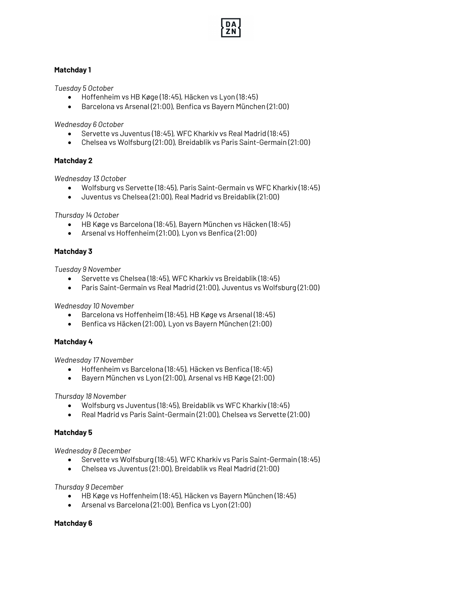

# **Matchday 1**

*Tuesday 5 October*

- Hoffenheim vs HB Køge (18:45), Häcken vs Lyon (18:45)
- Barcelona vs Arsenal (21:00), Benfica vs Bayern München (21:00)

*Wednesday 6 October*

- Servette vs Juventus (18:45), WFC Kharkiv vs Real Madrid (18:45)
- Chelsea vs Wolfsburg (21:00), Breidablik vs Paris Saint-Germain (21:00)

## **Matchday 2**

*Wednesday 13 October*

- Wolfsburg vs Servette (18:45), Paris Saint-Germain vs WFC Kharkiv (18:45)
- Juventus vs Chelsea (21:00), Real Madrid vs Breidablik (21:00)

*Thursday 14 October*

- HB Køge vs Barcelona (18:45), Bayern München vs Häcken (18:45)
- Arsenal vs Hoffenheim (21:00), Lyon vs Benfica (21:00)

## **Matchday 3**

*Tuesday 9 November*

- Servette vs Chelsea (18:45), WFC Kharkiv vs Breidablik (18:45)
- Paris Saint-Germain vs Real Madrid (21:00), Juventus vs Wolfsburg (21:00)

*Wednesday 10 November*

- Barcelona vs Hoffenheim (18:45), HB Køge vs Arsenal (18:45)
- Benfica vs Häcken (21:00), Lyon vs Bayern München (21:00)

#### **Matchday 4**

*Wednesday 17 November*

- Hoffenheim vs Barcelona (18:45), Häcken vs Benfica (18:45)
- Bayern München vs Lyon (21:00), Arsenal vs HB Køge (21:00)

*Thursday 18 November*

- Wolfsburg vs Juventus (18:45), Breidablik vs WFC Kharkiv (18:45)
- Real Madrid vs Paris Saint-Germain (21:00), Chelsea vs Servette (21:00)

#### **Matchday 5**

*Wednesday 8 December*

- Servette vs Wolfsburg (18:45), WFC Kharkiv vs Paris Saint-Germain (18:45)
- Chelsea vs Juventus (21:00), Breidablik vs Real Madrid (21:00)

*Thursday 9 December*

- HB Køge vs Hoffenheim (18:45), Häcken vs Bayern München (18:45)
- Arsenal vs Barcelona (21:00), Benfica vs Lyon (21:00)

#### **Matchday 6**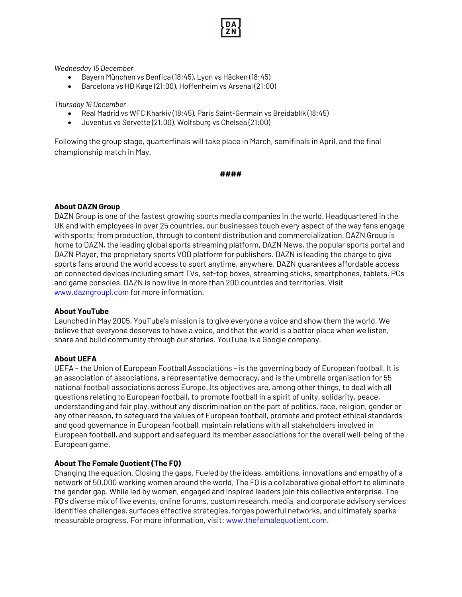*Wednesday 15 December*

- Bayern München vs Benfica (18:45), Lyon vs Häcken (18:45)
- Barcelona vs HB Køge (21:00), Hoffenheim vs Arsenal (21:00)

*Thursday 16 December*

- Real Madrid vs WFC Kharkiv (18:45), Paris Saint-Germain vs Breidablik (18:45)
- Juventus vs Servette (21:00), Wolfsburg vs Chelsea (21:00)

Following the group stage, quarterfinals will take place in March, semifinals in April, and the final championship match in May.

#### **####**

## **About DAZN Group**

DAZN Group is one of the fastest growing sports media companies in the world. Headquartered in the UK and with employees in over 25 countries, our businesses touch every aspect of the way fans engage with sports; from production, through to content distribution and commercialization. DAZN Group is home to DAZN, the leading global sports streaming platform, DAZN News, the popular sports portal and DAZN Player, the proprietary sports VOD platform for publishers. DAZN is leading the charge to give sports fans around the world access to sport anytime, anywhere. DAZN guarantees affordable access on connected devices including smart TVs, set-top boxes, streaming sticks, smartphones, tablets, PCs and game consoles. DAZN is now live in more than 200 countries and territories. Visit www.dazngroupl.com for more information.

#### **About YouTube**

Launched in May 2005, YouTube's mission is to give everyone a voice and show them the world. We believe that everyone deserves to have a voice, and that the world is a better place when we listen, share and build community through our stories. YouTube is a Google company.

#### **About UEFA**

UEFA – the Union of European Football Associations – is the governing body of European football. It is an association of associations, a representative democracy, and is the umbrella organisation for 55 national football associations across Europe. Its objectives are, among other things, to deal with all questions relating to European football, to promote football in a spirit of unity, solidarity, peace, understanding and fair play, without any discrimination on the part of politics, race, religion, gender or any other reason, to safeguard the values of European football, promote and protect ethical standards and good governance in European football, maintain relations with all stakeholders involved in European football, and support and safeguard its member associations for the overall well-being of the European game.

#### **About The Female Quotient (The FQ)**

Changing the equation. Closing the gaps. Fueled by the ideas, ambitions, innovations and empathy of a network of 50,000 working women around the world, The FQ is a collaborative global effort to eliminate the gender gap. While led by women, engaged and inspired leaders join this collective enterprise. The FQ's diverse mix of live events, online forums, custom research, media, and corporate advisory services identifies challenges, surfaces effective strategies, forges powerful networks, and ultimately sparks measurable progress. For more information, visit: www.thefemalequotient.com.